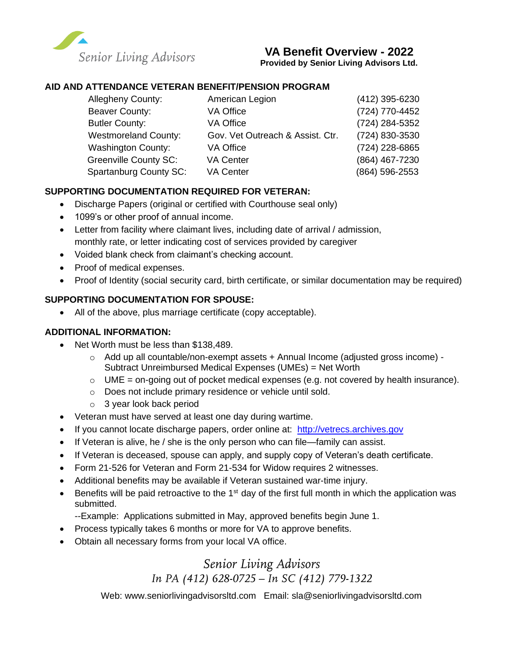

## **VA Benefit Overview - 2022**

**Provided by Senior Living Advisors Ltd.**

### **AID AND ATTENDANCE VETERAN BENEFIT/PENSION PROGRAM**

| Allegheny County:             | American Legion                  | (412) 395-6230 |
|-------------------------------|----------------------------------|----------------|
| Beaver County:                | VA Office                        | (724) 770-4452 |
| <b>Butler County:</b>         | VA Office                        | (724) 284-5352 |
| <b>Westmoreland County:</b>   | Gov. Vet Outreach & Assist. Ctr. | (724) 830-3530 |
| <b>Washington County:</b>     | VA Office                        | (724) 228-6865 |
| <b>Greenville County SC:</b>  | <b>VA Center</b>                 | (864) 467-7230 |
| <b>Spartanburg County SC:</b> | <b>VA Center</b>                 | (864) 596-2553 |

### **SUPPORTING DOCUMENTATION REQUIRED FOR VETERAN:**

- Discharge Papers (original or certified with Courthouse seal only)
- 1099's or other proof of annual income.
- Letter from facility where claimant lives, including date of arrival / admission, monthly rate, or letter indicating cost of services provided by caregiver
- Voided blank check from claimant's checking account.
- Proof of medical expenses.
- Proof of Identity (social security card, birth certificate, or similar documentation may be required)

#### **SUPPORTING DOCUMENTATION FOR SPOUSE:**

• All of the above, plus marriage certificate (copy acceptable).

### **ADDITIONAL INFORMATION:**

- Net Worth must be less than \$138,489.
	- $\circ$  Add up all countable/non-exempt assets + Annual Income (adjusted gross income) -Subtract Unreimbursed Medical Expenses (UMEs) = Net Worth
	- $\circ$  UME = on-going out of pocket medical expenses (e.g. not covered by health insurance).
	- o Does not include primary residence or vehicle until sold.
	- o 3 year look back period
- Veteran must have served at least one day during wartime.
- If you cannot locate discharge papers, order online at: [http://vetrecs.archives.gov](http://vetrecs.archives.gov/)
- If Veteran is alive, he / she is the only person who can file—family can assist.
- If Veteran is deceased, spouse can apply, and supply copy of Veteran's death certificate.
- Form 21-526 for Veteran and Form 21-534 for Widow requires 2 witnesses.
- Additional benefits may be available if Veteran sustained war-time injury.
- Benefits will be paid retroactive to the 1<sup>st</sup> day of the first full month in which the application was submitted.
	- --Example: Applications submitted in May, approved benefits begin June 1.
- Process typically takes 6 months or more for VA to approve benefits.
- Obtain all necessary forms from your local VA office.

# *Senior Living Advisors In PA (412) 628-0725 – In SC (412) 779-1322*

Web: [www.seniorlivingadvisorsltd.com](http://www.seniorlivingadvisorsltd.com/) Email: sla@seniorlivingadvisorsltd.com